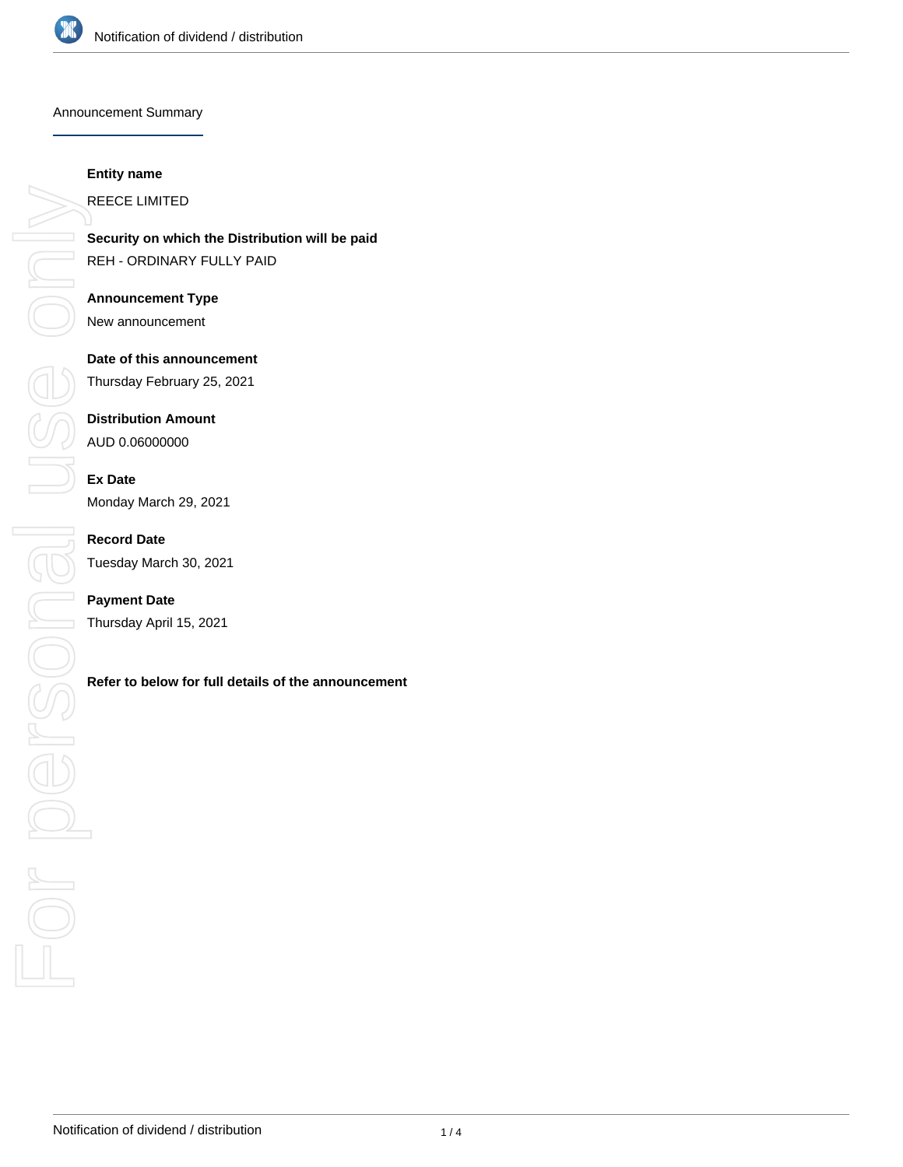

#### Announcement Summary

#### **Entity name**

REECE LIMITED

**Security on which the Distribution will be paid** REH - ORDINARY FULLY PAID

**Announcement Type** New announcement

**Date of this announcement** Thursday February 25, 2021

**Distribution Amount**

AUD 0.06000000

**Ex Date** Monday March 29, 2021

**Record Date** Tuesday March 30, 2021

**Payment Date** Thursday April 15, 2021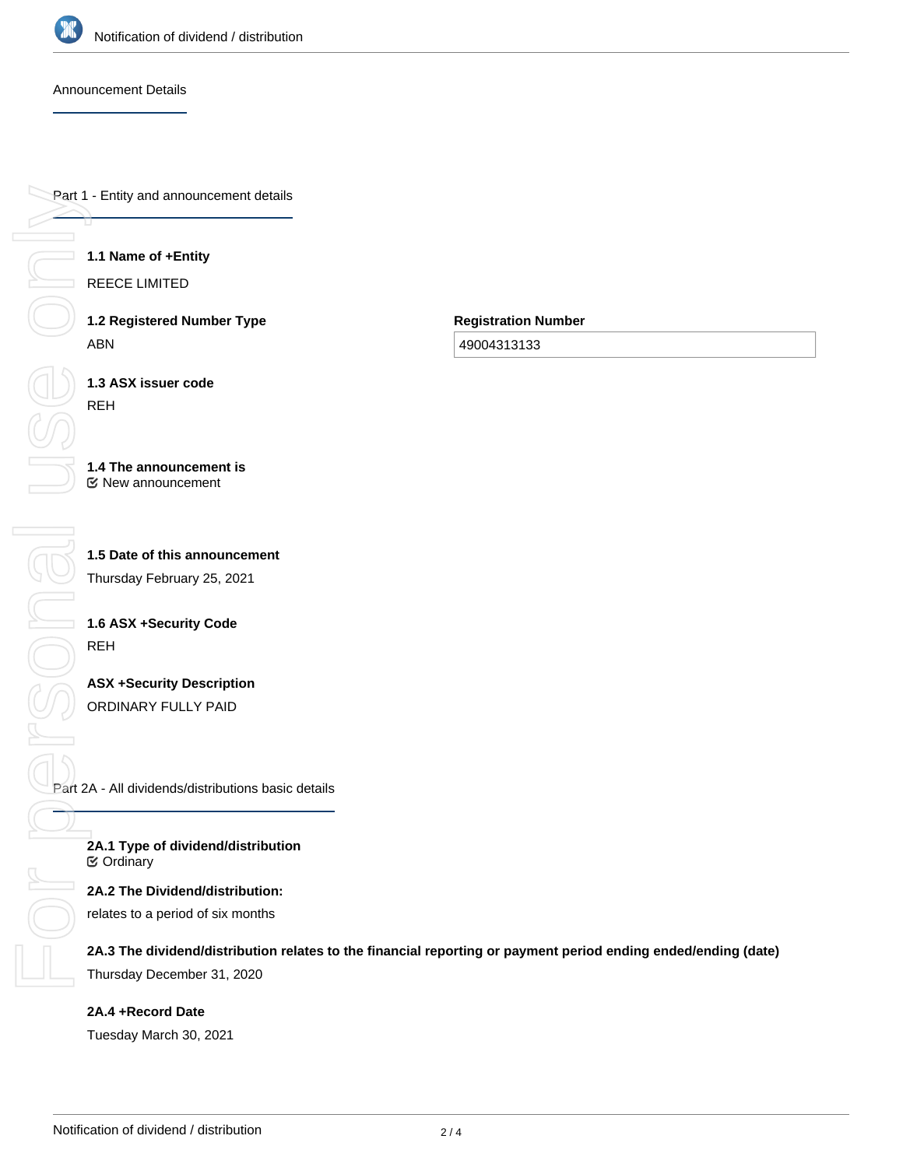

## Announcement Details

Part 1 - Entity and announcement details

## **1.1 Name of +Entity**

REECE LIMITED

**1.2 Registered Number Type** ABN

**Registration Number**

49004313133

**1.3 ASX issuer code** REH

#### **1.4 The announcement is** New announcement

**1.5 Date of this announcement** Thursday February 25, 2021

# **1.6 ASX +Security Code** REH

**ASX +Security Description** ORDINARY FULLY PAID

Part 2A - All dividends/distributions basic details

**2A.1 Type of dividend/distribution** Ordinary

**2A.2 The Dividend/distribution:** relates to a period of six months

**2A.3 The dividend/distribution relates to the financial reporting or payment period ending ended/ending (date)** Thursday December 31, 2020

**2A.4 +Record Date** Tuesday March 30, 2021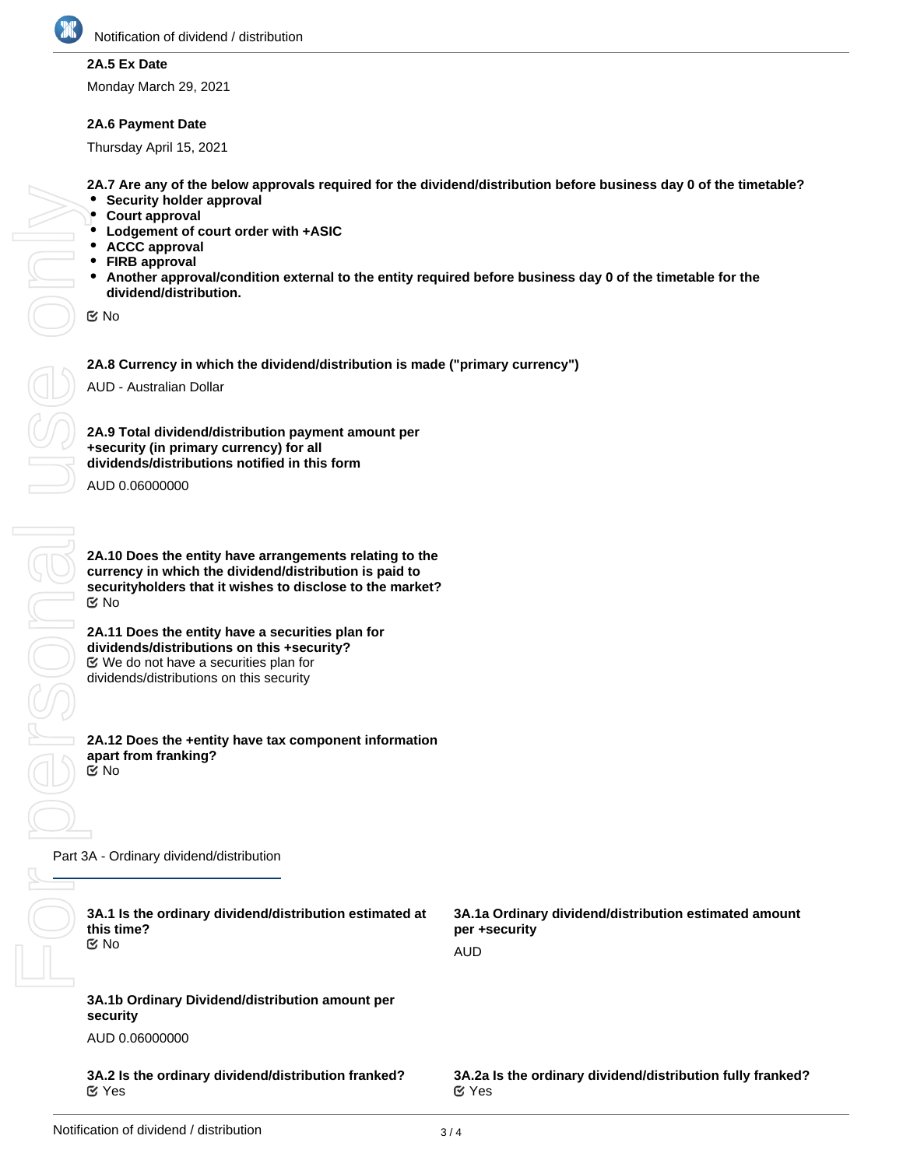

## **2A.5 Ex Date**

Monday March 29, 2021

#### **2A.6 Payment Date**

Thursday April 15, 2021

**2A.7 Are any of the below approvals required for the dividend/distribution before business day 0 of the timetable?**

- **Security holder approval**
- **Court approval**
- **Lodgement of court order with +ASIC**
- **ACCC approval**
- **FIRB approval**
- $\bullet$ **Another approval/condition external to the entity required before business day 0 of the timetable for the dividend/distribution.**

No

**2A.8 Currency in which the dividend/distribution is made ("primary currency")**

AUD - Australian Dollar

**2A.9 Total dividend/distribution payment amount per +security (in primary currency) for all dividends/distributions notified in this form**

AUD 0.06000000

**2A.10 Does the entity have arrangements relating to the currency in which the dividend/distribution is paid to securityholders that it wishes to disclose to the market?** No

**2A.11 Does the entity have a securities plan for dividends/distributions on this +security?** We do not have a securities plan for dividends/distributions on this security

**2A.12 Does the +entity have tax component information apart from franking?** No

Part 3A - Ordinary dividend/distribution

| 3A.1 Is the ordinary dividend/distribution estimated at<br>this time?<br>$\mathfrak{C}$ No | 3A.1a Ordinary dividend/distribution estimated amount<br>per +security<br><b>AUD</b> |
|--------------------------------------------------------------------------------------------|--------------------------------------------------------------------------------------|
| 3A.1b Ordinary Dividend/distribution amount per<br>security                                |                                                                                      |
| AUD 0.06000000                                                                             |                                                                                      |
| 3A.2 Is the ordinary dividend/distribution franked?<br>$\alpha$ Yes                        | 3A.2a Is the ordinary dividend/distribution fully franked?<br>$\alpha$ Yes           |
|                                                                                            |                                                                                      |